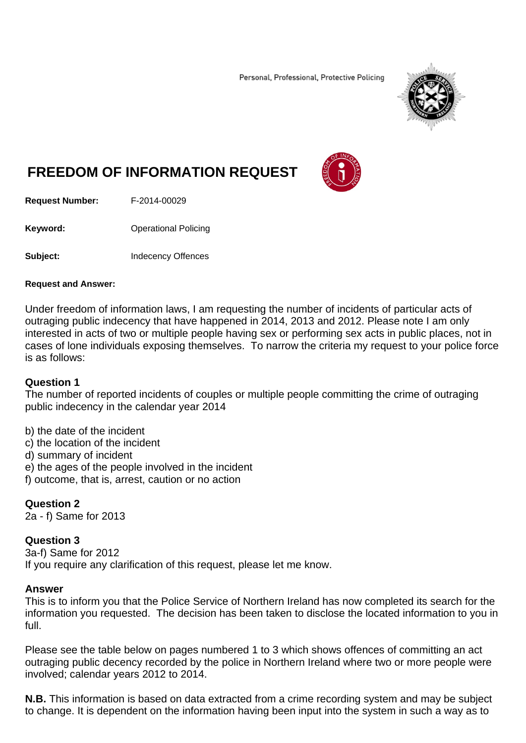Personal, Professional, Protective Policing



# **FREEDOM OF INFORMATION REQUEST**



**Request Number:** F-2014-00029

**Keyword: C**Derational Policing

**Subject: Indecency Offences** 

#### **Request and Answer:**

Under freedom of information laws, I am requesting the number of incidents of particular acts of outraging public indecency that have happened in 2014, 2013 and 2012. Please note I am only interested in acts of two or multiple people having sex or performing sex acts in public places, not in cases of lone individuals exposing themselves. To narrow the criteria my request to your police force is as follows:

## **Question 1**

The number of reported incidents of couples or multiple people committing the crime of outraging public indecency in the calendar year 2014

b) the date of the incident

- c) the location of the incident
- d) summary of incident
- e) the ages of the people involved in the incident
- f) outcome, that is, arrest, caution or no action

## **Question 2**

2a - f) Same for 2013

## **Question 3**

3a-f) Same for 2012 If you require any clarification of this request, please let me know.

#### **Answer**

This is to inform you that the Police Service of Northern Ireland has now completed its search for the information you requested. The decision has been taken to disclose the located information to you in full.

Please see the table below on pages numbered 1 to 3 which shows offences of committing an act outraging public decency recorded by the police in Northern Ireland where two or more people were involved; calendar years 2012 to 2014.

**N.B.** This information is based on data extracted from a crime recording system and may be subject to change. It is dependent on the information having been input into the system in such a way as to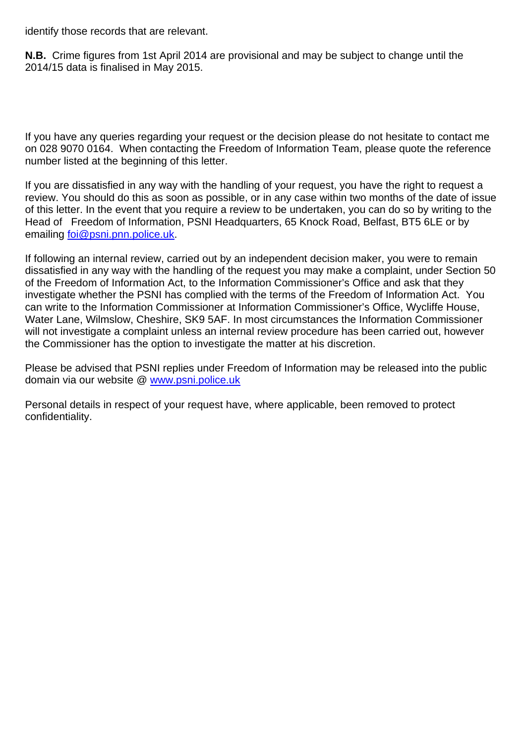identify those records that are relevant.

**N.B.** Crime figures from 1st April 2014 are provisional and may be subject to change until the 2014/15 data is finalised in May 2015.

If you have any queries regarding your request or the decision please do not hesitate to contact me on 028 9070 0164. When contacting the Freedom of Information Team, please quote the reference number listed at the beginning of this letter.

If you are dissatisfied in any way with the handling of your request, you have the right to request a review. You should do this as soon as possible, or in any case within two months of the date of issue of this letter. In the event that you require a review to be undertaken, you can do so by writing to the Head of Freedom of Information, PSNI Headquarters, 65 Knock Road, Belfast, BT5 6LE or by emailing foi@psni.pnn.police.uk.

If following an internal review, carried out by an independent decision maker, you were to remain dissatisfied in any way with the handling of the request you may make a complaint, under Section 50 of the Freedom of Information Act, to the Information Commissioner's Office and ask that they investigate whether the PSNI has complied with the terms of the Freedom of Information Act. You can write to the Information Commissioner at Information Commissioner's Office, Wycliffe House, Water Lane, Wilmslow, Cheshire, SK9 5AF. In most circumstances the Information Commissioner will not investigate a complaint unless an internal review procedure has been carried out, however the Commissioner has the option to investigate the matter at his discretion.

Please be advised that PSNI replies under Freedom of Information may be released into the public domain via our website @ www.psni.police.uk

Personal details in respect of your request have, where applicable, been removed to protect confidentiality.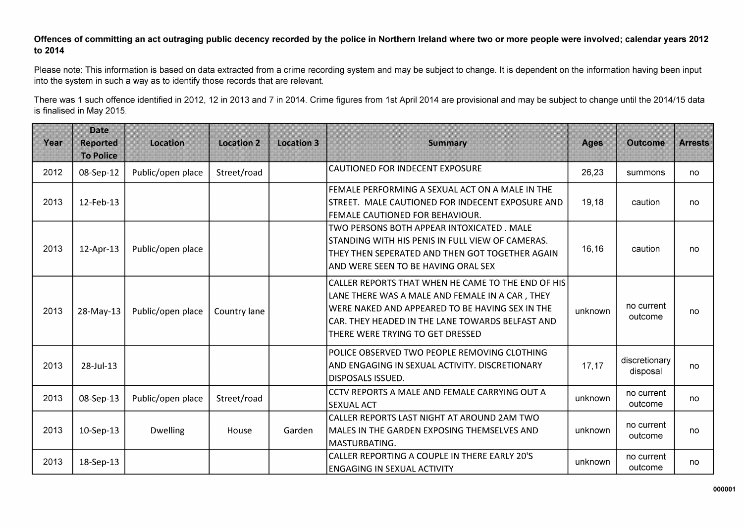#### Offences of committing an act outraging public decency recorded by the police in Northern Ireland where two or more people were involved; calendar years 2012 to 2014

Please note: This information is based on data extracted from a crime recording system and may be subject to change. It is dependent on the information having been input into the system in such a way as to identify those records that are relevant.

There was 1 such offence identified in 2012, 12 in 2013 and 7 in 2014. Crime figures from 1st April 2014 are provisional and may be subject to change until the 2014/15 data is finalised in May 2015.

| Year | <b>Date</b><br><b>Reported</b><br><b>To Police</b> | Location          | <b>Location 2</b> | <b>Location 3</b> | <b>Summary</b>                                                                                                                                                                                                                                   | <b>Ages</b> | <b>Outcome</b>            | <b>Arrests</b> |
|------|----------------------------------------------------|-------------------|-------------------|-------------------|--------------------------------------------------------------------------------------------------------------------------------------------------------------------------------------------------------------------------------------------------|-------------|---------------------------|----------------|
| 2012 | 08-Sep-12                                          | Public/open place | Street/road       |                   | CAUTIONED FOR INDECENT EXPOSURE                                                                                                                                                                                                                  | 26,23       | summons                   | no             |
| 2013 | 12-Feb-13                                          |                   |                   |                   | FEMALE PERFORMING A SEXUAL ACT ON A MALE IN THE<br>STREET. MALE CAUTIONED FOR INDECENT EXPOSURE AND<br>FEMALE CAUTIONED FOR BEHAVIOUR.                                                                                                           | 19,18       | caution                   | no             |
| 2013 | 12-Apr-13                                          | Public/open place |                   |                   | TWO PERSONS BOTH APPEAR INTOXICATED. MALE<br>STANDING WITH HIS PENIS IN FULL VIEW OF CAMERAS.<br>THEY THEN SEPERATED AND THEN GOT TOGETHER AGAIN<br>AND WERE SEEN TO BE HAVING ORAL SEX                                                          | 16,16       | caution                   | no             |
| 2013 | 28-May-13                                          | Public/open place | Country lane      |                   | CALLER REPORTS THAT WHEN HE CAME TO THE END OF HIS<br>LANE THERE WAS A MALE AND FEMALE IN A CAR, THEY<br>WERE NAKED AND APPEARED TO BE HAVING SEX IN THE<br>CAR. THEY HEADED IN THE LANE TOWARDS BELFAST AND<br>THERE WERE TRYING TO GET DRESSED | unknown     | no current<br>outcome     | no             |
| 2013 | 28-Jul-13                                          |                   |                   |                   | POLICE OBSERVED TWO PEOPLE REMOVING CLOTHING<br>AND ENGAGING IN SEXUAL ACTIVITY. DISCRETIONARY<br><b>DISPOSALS ISSUED.</b>                                                                                                                       | 17,17       | discretionary<br>disposal | no             |
| 2013 | 08-Sep-13                                          | Public/open place | Street/road       |                   | ICCTV REPORTS A MALE AND FEMALE CARRYING OUT A<br><b>SEXUAL ACT</b>                                                                                                                                                                              | unknown     | no current<br>outcome     | no             |
| 2013 | 10-Sep-13                                          | <b>Dwelling</b>   | House             | Garden            | CALLER REPORTS LAST NIGHT AT AROUND 2AM TWO<br>MALES IN THE GARDEN EXPOSING THEMSELVES AND<br>MASTURBATING.                                                                                                                                      | unknown     | no current<br>outcome     | no             |
| 2013 | 18-Sep-13                                          |                   |                   |                   | CALLER REPORTING A COUPLE IN THERE EARLY 20'S<br>ENGAGING IN SEXUAL ACTIVITY                                                                                                                                                                     | unknown     | no current<br>outcome     | no             |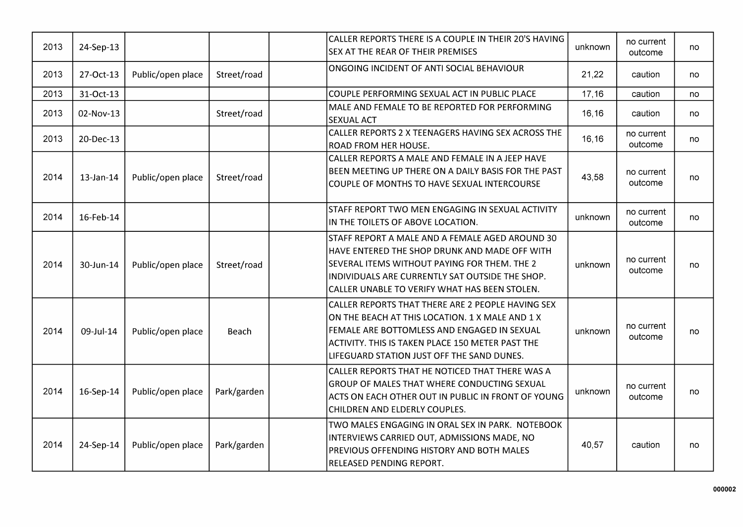| 2013 | 24-Sep-13 |                   |             | CALLER REPORTS THERE IS A COUPLE IN THEIR 20'S HAVING<br><b>SEX AT THE REAR OF THEIR PREMISES</b>                                                                                                                                                     | unknown | no current<br>outcome | no |
|------|-----------|-------------------|-------------|-------------------------------------------------------------------------------------------------------------------------------------------------------------------------------------------------------------------------------------------------------|---------|-----------------------|----|
| 2013 | 27-Oct-13 | Public/open place | Street/road | ONGOING INCIDENT OF ANTI SOCIAL BEHAVIOUR                                                                                                                                                                                                             | 21,22   | caution               | no |
| 2013 | 31-Oct-13 |                   |             | COUPLE PERFORMING SEXUAL ACT IN PUBLIC PLACE                                                                                                                                                                                                          | 17,16   | caution               | no |
| 2013 | 02-Nov-13 |                   | Street/road | MALE AND FEMALE TO BE REPORTED FOR PERFORMING<br><b>SEXUAL ACT</b>                                                                                                                                                                                    | 16,16   | caution               | no |
| 2013 | 20-Dec-13 |                   |             | CALLER REPORTS 2 X TEENAGERS HAVING SEX ACROSS THE<br>ROAD FROM HER HOUSE.                                                                                                                                                                            | 16,16   | no current<br>outcome | no |
| 2014 | 13-Jan-14 | Public/open place | Street/road | CALLER REPORTS A MALE AND FEMALE IN A JEEP HAVE<br>BEEN MEETING UP THERE ON A DAILY BASIS FOR THE PAST<br>COUPLE OF MONTHS TO HAVE SEXUAL INTERCOURSE                                                                                                 | 43,58   | no current<br>outcome | no |
| 2014 | 16-Feb-14 |                   |             | STAFF REPORT TWO MEN ENGAGING IN SEXUAL ACTIVITY<br>IN THE TOILETS OF ABOVE LOCATION.                                                                                                                                                                 | unknown | no current<br>outcome | no |
| 2014 | 30-Jun-14 | Public/open place | Street/road | STAFF REPORT A MALE AND A FEMALE AGED AROUND 30<br>HAVE ENTERED THE SHOP DRUNK AND MADE OFF WITH<br>SEVERAL ITEMS WITHOUT PAYING FOR THEM. THE 2<br>INDIVIDUALS ARE CURRENTLY SAT OUTSIDE THE SHOP.<br>CALLER UNABLE TO VERIFY WHAT HAS BEEN STOLEN.  | unknown | no current<br>outcome | no |
| 2014 | 09-Jul-14 | Public/open place | Beach       | CALLER REPORTS THAT THERE ARE 2 PEOPLE HAVING SEX<br>ON THE BEACH AT THIS LOCATION. 1 X MALE AND 1 X<br>FEMALE ARE BOTTOMLESS AND ENGAGED IN SEXUAL<br>ACTIVITY. THIS IS TAKEN PLACE 150 METER PAST THE<br>LIFEGUARD STATION JUST OFF THE SAND DUNES. | unknown | no current<br>outcome | no |
| 2014 | 16-Sep-14 | Public/open place | Park/garden | CALLER REPORTS THAT HE NOTICED THAT THERE WAS A<br>GROUP OF MALES THAT WHERE CONDUCTING SEXUAL<br>ACTS ON EACH OTHER OUT IN PUBLIC IN FRONT OF YOUNG<br>CHILDREN AND ELDERLY COUPLES.                                                                 | unknown | no current<br>outcome | no |
| 2014 | 24-Sep-14 | Public/open place | Park/garden | TWO MALES ENGAGING IN ORAL SEX IN PARK. NOTEBOOK<br>INTERVIEWS CARRIED OUT, ADMISSIONS MADE, NO<br>PREVIOUS OFFENDING HISTORY AND BOTH MALES<br>RELEASED PENDING REPORT.                                                                              | 40,57   | caution               | no |